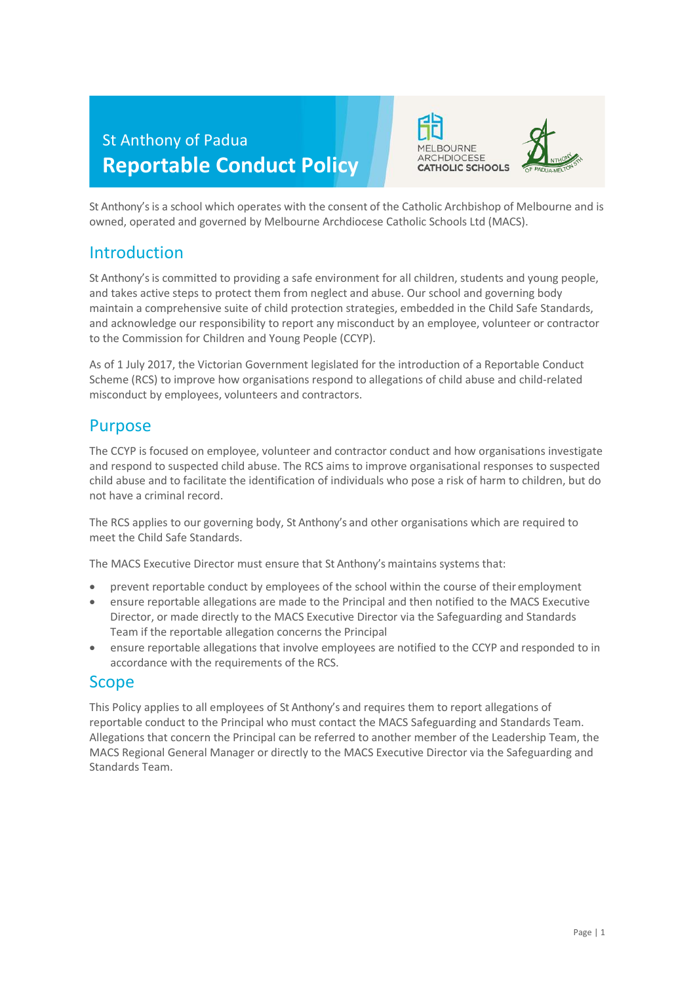



St Anthony's is a school which operates with the consent of the Catholic Archbishop of Melbourne and is owned, operated and governed by Melbourne Archdiocese Catholic Schools Ltd (MACS).

# Introduction

St Anthony's is committed to providing a safe environment for all children, students and young people, and takes active steps to protect them from neglect and abuse. Our school and governing body maintain a comprehensive suite of child protection strategies, embedded in the Child Safe Standards, and acknowledge our responsibility to report any misconduct by an employee, volunteer or contractor to the Commission for Children and Young People (CCYP).

As of 1 July 2017, the Victorian Government legislated for the introduction of a Reportable Conduct Scheme (RCS) to improve how organisations respond to allegations of child abuse and child-related misconduct by employees, volunteers and contractors.

# Purpose

The CCYP is focused on employee, volunteer and contractor conduct and how organisations investigate and respond to suspected child abuse. The RCS aims to improve organisational responses to suspected child abuse and to facilitate the identification of individuals who pose a risk of harm to children, but do not have a criminal record.

The RCS applies to our governing body, St Anthony's and other organisations which are required to meet the Child Safe Standards.

The MACS Executive Director must ensure that St Anthony's maintains systems that:

- prevent reportable conduct by employees of the school within the course of their employment
- ensure reportable allegations are made to the Principal and then notified to the MACS Executive Director, or made directly to the MACS Executive Director via the Safeguarding and Standards Team if the reportable allegation concerns the Principal
- ensure reportable allegations that involve employees are notified to the CCYP and responded to in accordance with the requirements of the RCS.

# Scope

This Policy applies to all employees of St Anthony's and requires them to report allegations of reportable conduct to the Principal who must contact the MACS Safeguarding and Standards Team. Allegations that concern the Principal can be referred to another member of the Leadership Team, the MACS Regional General Manager or directly to the MACS Executive Director via the Safeguarding and Standards Team.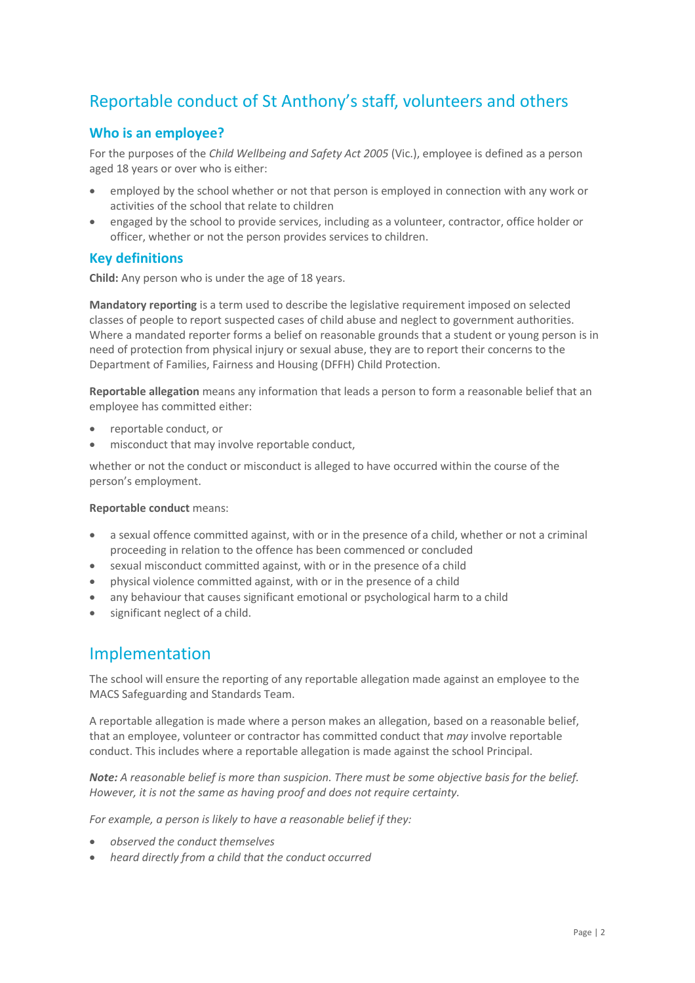# Reportable conduct of St Anthony's staff, volunteers and others

### **Who is an employee?**

For the purposes of the *Child Wellbeing and Safety Act 2005* (Vic.), employee is defined as a person aged 18 years or over who is either:

- employed by the school whether or not that person is employed in connection with any work or activities of the school that relate to children
- engaged by the school to provide services, including as a volunteer, contractor, office holder or officer, whether or not the person provides services to children.

#### **Key definitions**

**Child:** Any person who is under the age of 18 years.

**Mandatory reporting** is a term used to describe the legislative requirement imposed on selected classes of people to report suspected cases of child abuse and neglect to government authorities. Where a mandated reporter forms a belief on reasonable grounds that a student or young person is in need of protection from physical injury or sexual abuse, they are to report their concerns to the Department of Families, Fairness and Housing (DFFH) Child Protection.

**Reportable allegation** means any information that leads a person to form a reasonable belief that an employee has committed either:

- reportable conduct, or
- misconduct that may involve reportable conduct,

whether or not the conduct or misconduct is alleged to have occurred within the course of the person's employment.

#### **Reportable conduct** means:

- a sexual offence committed against, with or in the presence of a child, whether or not a criminal proceeding in relation to the offence has been commenced or concluded
- sexual misconduct committed against, with or in the presence of a child
- physical violence committed against, with or in the presence of a child
- any behaviour that causes significant emotional or psychological harm to a child
- significant neglect of a child.

## Implementation

The school will ensure the reporting of any reportable allegation made against an employee to the MACS Safeguarding and Standards Team.

A reportable allegation is made where a person makes an allegation, based on a reasonable belief, that an employee, volunteer or contractor has committed conduct that *may* involve reportable conduct. This includes where a reportable allegation is made against the school Principal.

*Note: A reasonable belief is more than suspicion. There must be some objective basis for the belief. However, it is not the same as having proof and does not require certainty.*

*For example, a person is likely to have a reasonable belief if they:*

- *observed the conduct themselves*
- *heard directly from a child that the conduct occurred*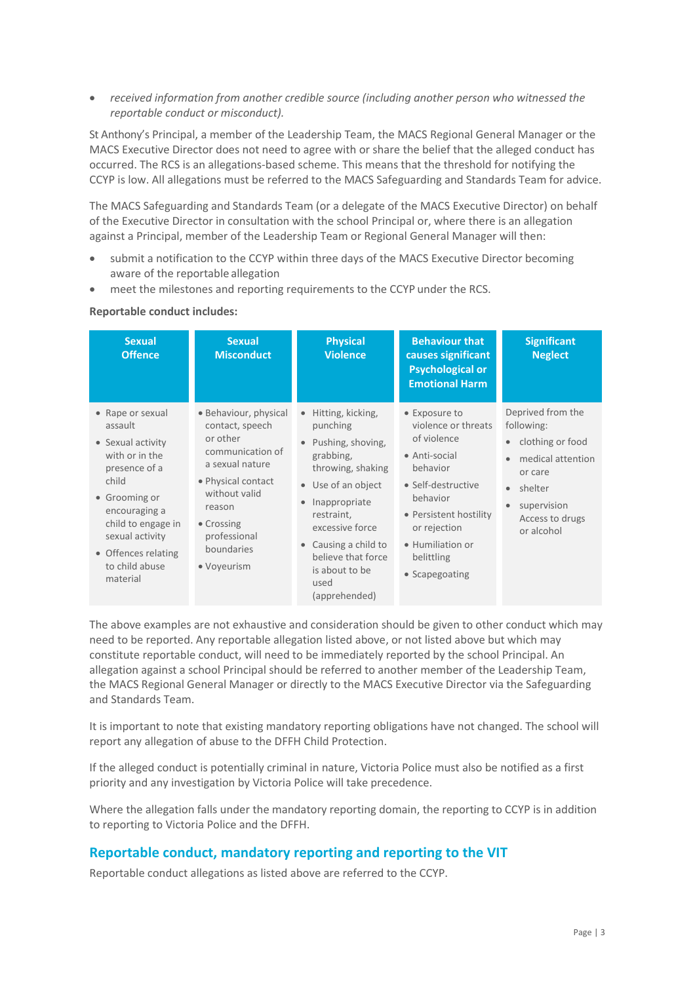• *received information from another credible source (including another person who witnessed the reportable conduct or misconduct).*

St Anthony's Principal, a member of the Leadership Team, the MACS Regional General Manager or the MACS Executive Director does not need to agree with or share the belief that the alleged conduct has occurred. The RCS is an allegations-based scheme. This means that the threshold for notifying the CCYP is low. All allegations must be referred to the MACS Safeguarding and Standards Team for advice.

The MACS Safeguarding and Standards Team (or a delegate of the MACS Executive Director) on behalf of the Executive Director in consultation with the school Principal or, where there is an allegation against a Principal, member of the Leadership Team or Regional General Manager will then:

- submit a notification to the CCYP within three days of the MACS Executive Director becoming aware of the reportable allegation
- meet the milestones and reporting requirements to the CCYP under the RCS.

#### **Reportable conduct includes:**

| <b>Sexual</b><br><b>Offence</b>                                                                                                                                                                                              | <b>Sexual</b><br><b>Misconduct</b>                                                                                                                                                                      | <b>Physical</b><br><b>Violence</b>                                                                                                                                                                                                                               | <b>Behaviour that</b><br>causes significant<br><b>Psychological or</b><br><b>Emotional Harm</b>                                                                                                                  | <b>Significant</b><br><b>Neglect</b>                                                                                                           |
|------------------------------------------------------------------------------------------------------------------------------------------------------------------------------------------------------------------------------|---------------------------------------------------------------------------------------------------------------------------------------------------------------------------------------------------------|------------------------------------------------------------------------------------------------------------------------------------------------------------------------------------------------------------------------------------------------------------------|------------------------------------------------------------------------------------------------------------------------------------------------------------------------------------------------------------------|------------------------------------------------------------------------------------------------------------------------------------------------|
| • Rape or sexual<br>assault<br>• Sexual activity<br>with or in the<br>presence of a<br>child<br>• Grooming or<br>encouraging a<br>child to engage in<br>sexual activity<br>• Offences relating<br>to child abuse<br>material | • Behaviour, physical<br>contact, speech<br>or other<br>communication of<br>a sexual nature<br>• Physical contact<br>without valid<br>reason<br>• Crossing<br>professional<br>boundaries<br>• Voyeurism | Hitting, kicking,<br>$\bullet$<br>punching<br>Pushing, shoving,<br>grabbing,<br>throwing, shaking<br>• Use of an object<br>Inappropriate<br>restraint,<br>excessive force<br>Causing a child to<br>believe that force<br>is about to be<br>used<br>(apprehended) | • Exposure to<br>violence or threats<br>of violence<br>• Anti-social<br>behavior<br>• Self-destructive<br>behavior<br>• Persistent hostility<br>or rejection<br>• Humiliation or<br>belittling<br>• Scapegoating | Deprived from the<br>following:<br>clothing or food<br>medical attention<br>or care<br>shelter<br>supervision<br>Access to drugs<br>or alcohol |

The above examples are not exhaustive and consideration should be given to other conduct which may need to be reported. Any reportable allegation listed above, or not listed above but which may constitute reportable conduct, will need to be immediately reported by the school Principal. An allegation against a school Principal should be referred to another member of the Leadership Team, the MACS Regional General Manager or directly to the MACS Executive Director via the Safeguarding and Standards Team.

It is important to note that existing mandatory reporting obligations have not changed. The school will report any allegation of abuse to the DFFH Child Protection.

If the alleged conduct is potentially criminal in nature, Victoria Police must also be notified as a first priority and any investigation by Victoria Police will take precedence.

Where the allegation falls under the mandatory reporting domain, the reporting to CCYP is in addition to reporting to Victoria Police and the DFFH.

#### **Reportable conduct, mandatory reporting and reporting to the VIT**

Reportable conduct allegations as listed above are referred to the CCYP.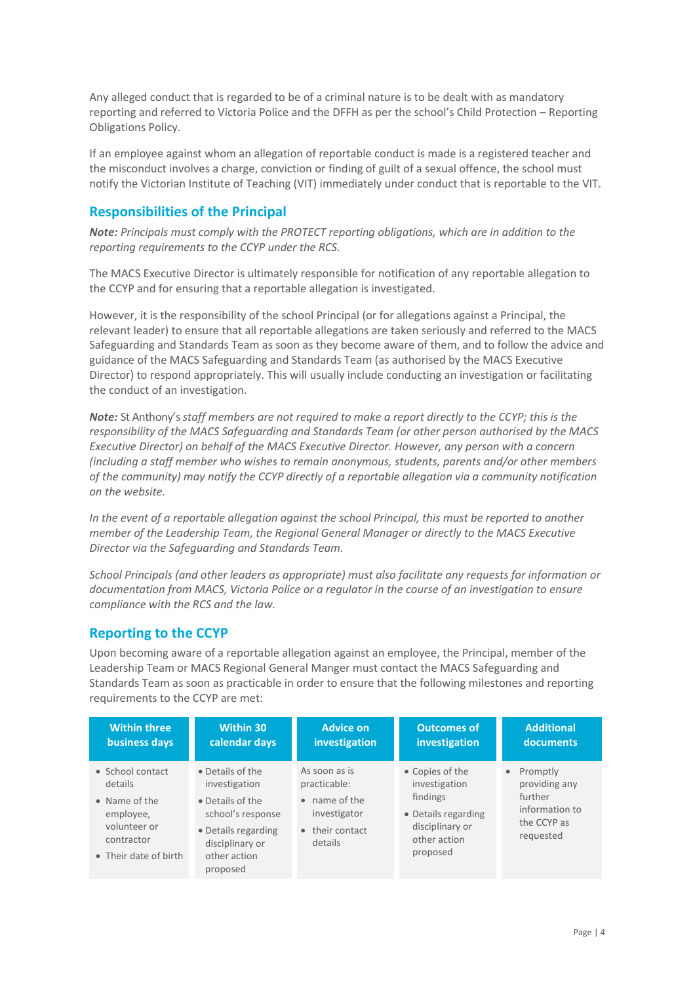Any alleged conduct that is regarded to be of a criminal nature is to be dealt with as mandatory reporting and referred to Victoria Police and the DFFH as per the school's Child Protection – Reporting Obligations Policy.

If an employee against whom an allegation of reportable conduct is made is a registered teacher and the misconduct involves a charge, conviction or finding of guilt of a sexual offence, the school must notify the Victorian Institute of Teaching (VIT) immediately under conduct that is reportable to the VIT.

## **Responsibilities of the Principal**

*Note: Principals must comply with the PROTECT reporting obligations, which are in addition to the reporting requirements to the CCYP under the RCS.*

The MACS Executive Director is ultimately responsible for notification of any reportable allegation to the CCYP and for ensuring that a reportable allegation is investigated.

However, it is the responsibility of the school Principal (or for allegations against a Principal, the relevant leader) to ensure that all reportable allegations are taken seriously and referred to the MACS Safeguarding and Standards Team as soon as they become aware of them, and to follow the advice and guidance of the MACS Safeguarding and Standards Team (as authorised by the MACS Executive Director) to respond appropriately. This will usually include conducting an investigation or facilitating the conduct of an investigation.

*Note:* St Anthony's *staff members are not required to make a report directly to the CCYP; this is the responsibility of the MACS Safeguarding and Standards Team (or other person authorised by the MACS Executive Director) on behalf of the MACS Executive Director. However, any person with a concern (including a staff member who wishes to remain anonymous, students, parents and/or other members of the community) may notify the CCYP directly of a reportable allegation via a community notification on the website.*

*In the event of a reportable allegation against the school Principal, this must be reported to another member of the Leadership Team, the Regional General Manager or directly to the MACS Executive Director via the Safeguarding and Standards Team.*

*School Principals (and other leaders as appropriate) must also facilitate any requests for information or documentation from MACS, Victoria Police or a regulator in the course of an investigation to ensure compliance with the RCS and the law.*

## **Reporting to the CCYP**

Upon becoming aware of a reportable allegation against an employee, the Principal, member of the Leadership Team or MACS Regional General Manger must contact the MACS Safeguarding and Standards Team as soon as practicable in order to ensure that the following milestones and reporting requirements to the CCYP are met:

| <b>Within three</b>                                                                                              | Within 30                                                                                                                                        | <b>Advice on</b>                                                                             | <b>Outcomes of</b>                                                                                                 | <b>Additional</b>                                                                    |
|------------------------------------------------------------------------------------------------------------------|--------------------------------------------------------------------------------------------------------------------------------------------------|----------------------------------------------------------------------------------------------|--------------------------------------------------------------------------------------------------------------------|--------------------------------------------------------------------------------------|
| business days                                                                                                    | calendar days                                                                                                                                    | investigation                                                                                | investigation                                                                                                      | documents                                                                            |
| • School contact<br>details<br>• Name of the<br>employee,<br>volunteer or<br>contractor<br>• Their date of birth | • Details of the<br>investigation<br>• Details of the<br>school's response<br>• Details regarding<br>disciplinary or<br>other action<br>proposed | As soon as is<br>practicable:<br>• name of the<br>investigator<br>• their contact<br>details | • Copies of the<br>investigation<br>findings<br>• Details regarding<br>disciplinary or<br>other action<br>proposed | • Promptly<br>providing any<br>further<br>information to<br>the CCYP as<br>requested |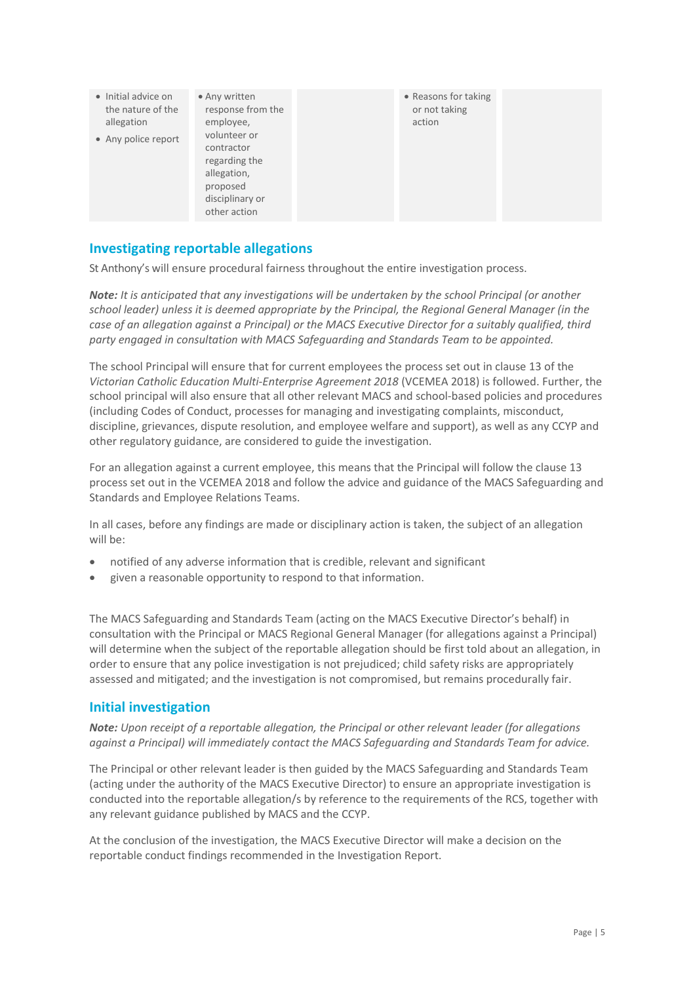| • Initial advice on<br>the nature of the<br>allegation<br>• Any police report | • Any written<br>response from the<br>employee,<br>volunteer or<br>contractor<br>regarding the<br>allegation,<br>proposed<br>disciplinary or | • Reasons for taking<br>or not taking<br>action |  |
|-------------------------------------------------------------------------------|----------------------------------------------------------------------------------------------------------------------------------------------|-------------------------------------------------|--|
|                                                                               | other action                                                                                                                                 |                                                 |  |

#### **Investigating reportable allegations**

St Anthony's will ensure procedural fairness throughout the entire investigation process.

*Note: It is anticipated that any investigations will be undertaken by the school Principal (or another school leader) unless it is deemed appropriate by the Principal, the Regional General Manager (in the case of an allegation against a Principal) or the MACS Executive Director for a suitably qualified, third party engaged in consultation with MACS Safeguarding and Standards Team to be appointed.*

The school Principal will ensure that for current employees the process set out in clause 13 of the *Victorian Catholic Education Multi-Enterprise Agreement 2018* (VCEMEA 2018) is followed. Further, the school principal will also ensure that all other relevant MACS and school-based policies and procedures (including Codes of Conduct, processes for managing and investigating complaints, misconduct, discipline, grievances, dispute resolution, and employee welfare and support), as well as any CCYP and other regulatory guidance, are considered to guide the investigation.

For an allegation against a current employee, this means that the Principal will follow the clause 13 process set out in the VCEMEA 2018 and follow the advice and guidance of the MACS Safeguarding and Standards and Employee Relations Teams.

In all cases, before any findings are made or disciplinary action is taken, the subject of an allegation will be:

- notified of any adverse information that is credible, relevant and significant
- given a reasonable opportunity to respond to that information.

The MACS Safeguarding and Standards Team (acting on the MACS Executive Director's behalf) in consultation with the Principal or MACS Regional General Manager (for allegations against a Principal) will determine when the subject of the reportable allegation should be first told about an allegation, in order to ensure that any police investigation is not prejudiced; child safety risks are appropriately assessed and mitigated; and the investigation is not compromised, but remains procedurally fair.

#### **Initial investigation**

*Note: Upon receipt of a reportable allegation, the Principal or other relevant leader (for allegations against a Principal) will immediately contact the MACS Safeguarding and Standards Team for advice.*

The Principal or other relevant leader is then guided by the MACS Safeguarding and Standards Team (acting under the authority of the MACS Executive Director) to ensure an appropriate investigation is conducted into the reportable allegation/s by reference to the requirements of the RCS, together with any relevant guidance published by MACS and the CCYP.

At the conclusion of the investigation, the MACS Executive Director will make a decision on the reportable conduct findings recommended in the Investigation Report.